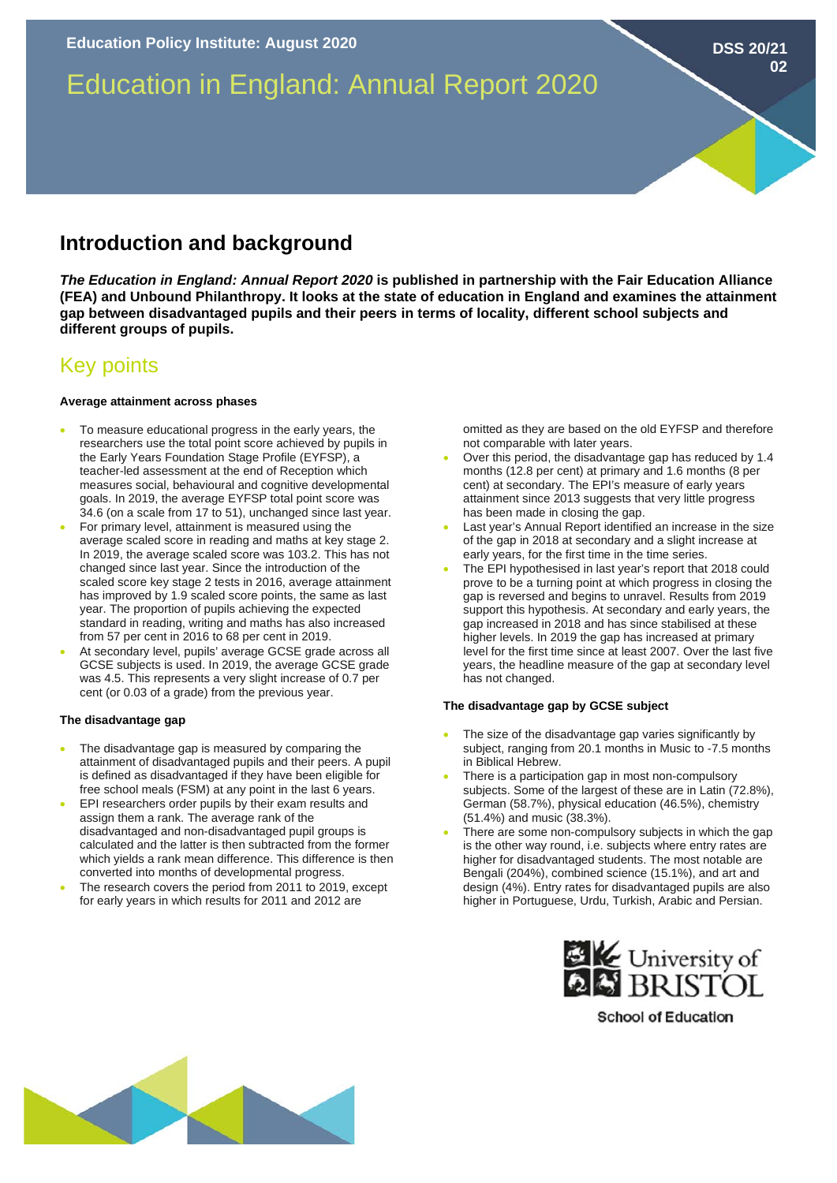# Education in England: Annual Report 2020

## **Introduction and background**

*The Education in England: Annual Report 2020* **is published in partnership with the Fair Education Alliance (FEA) and Unbound Philanthropy. It looks at the state of education in England and examines the attainment gap between disadvantaged pupils and their peers in terms of locality, different school subjects and different groups of pupils.** 

### Key points

#### **Average attainment across phases**

- To measure educational progress in the early years, the researchers use the total point score achieved by pupils in the Early Years Foundation Stage Profile (EYFSP), a teacher-led assessment at the end of Reception which measures social, behavioural and cognitive developmental goals. In 2019, the average EYFSP total point score was 34.6 (on a scale from 17 to 51), unchanged since last year.
- For primary level, attainment is measured using the average scaled score in reading and maths at key stage 2. In 2019, the average scaled score was 103.2. This has not changed since last year. Since the introduction of the scaled score key stage 2 tests in 2016, average attainment has improved by 1.9 scaled score points, the same as last year. The proportion of pupils achieving the expected standard in reading, writing and maths has also increased from 57 per cent in 2016 to 68 per cent in 2019.
- At secondary level, pupils' average GCSE grade across all GCSE subjects is used. In 2019, the average GCSE grade was 4.5. This represents a very slight increase of 0.7 per cent (or 0.03 of a grade) from the previous year.

#### **The disadvantage gap**

- The disadvantage gap is measured by comparing the attainment of disadvantaged pupils and their peers. A pupil is defined as disadvantaged if they have been eligible for free school meals (FSM) at any point in the last 6 years.
- EPI researchers order pupils by their exam results and assign them a rank. The average rank of the disadvantaged and non-disadvantaged pupil groups is calculated and the latter is then subtracted from the former which yields a rank mean difference. This difference is then converted into months of developmental progress.
- The research covers the period from 2011 to 2019, except for early years in which results for 2011 and 2012 are

omitted as they are based on the old EYFSP and therefore not comparable with later years.

- Over this period, the disadvantage gap has reduced by 1.4 months (12.8 per cent) at primary and 1.6 months (8 per cent) at secondary. The EPI's measure of early years attainment since 2013 suggests that very little progress has been made in closing the gap.
- Last year's Annual Report identified an increase in the size of the gap in 2018 at secondary and a slight increase at early years, for the first time in the time series.
- The EPI hypothesised in last year's report that 2018 could prove to be a turning point at which progress in closing the gap is reversed and begins to unravel. Results from 2019 support this hypothesis. At secondary and early years, the gap increased in 2018 and has since stabilised at these higher levels. In 2019 the gap has increased at primary level for the first time since at least 2007. Over the last five years, the headline measure of the gap at secondary level has not changed.

#### **The disadvantage gap by GCSE subject**

- The size of the disadvantage gap varies significantly by subject, ranging from 20.1 months in Music to -7.5 months in Biblical Hebrew.
- There is a participation gap in most non-compulsory subjects. Some of the largest of these are in Latin (72.8%), German (58.7%), physical education (46.5%), chemistry (51.4%) and music (38.3%).
- There are some non-compulsory subjects in which the gap is the other way round, i.e. subjects where entry rates are higher for disadvantaged students. The most notable are Bengali (204%), combined science (15.1%), and art and design (4%). Entry rates for disadvantaged pupils are also higher in Portuguese, Urdu, Turkish, Arabic and Persian.



**School of Education** 



**DSS 20/21**

**02**